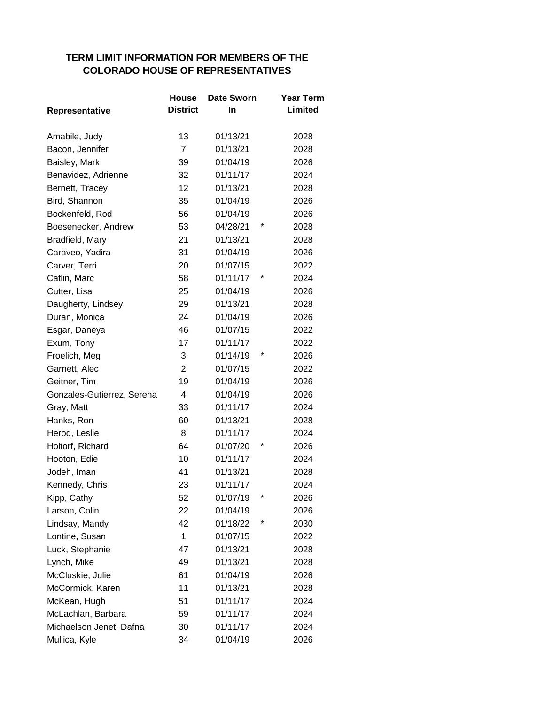## **TERM LIMIT INFORMATION FOR MEMBERS OF THE COLORADO HOUSE OF REPRESENTATIVES**

|                            | House           | <b>Date Sworn</b> |   | <b>Year Term</b> |
|----------------------------|-----------------|-------------------|---|------------------|
| Representative             | <b>District</b> | In.               |   | Limited          |
| Amabile, Judy              | 13              | 01/13/21          |   | 2028             |
| Bacon, Jennifer            | $\overline{7}$  | 01/13/21          |   | 2028             |
| Baisley, Mark              | 39              | 01/04/19          |   | 2026             |
| Benavidez, Adrienne        | 32              | 01/11/17          |   | 2024             |
| Bernett, Tracey            | 12              | 01/13/21          |   | 2028             |
| Bird, Shannon              | 35              | 01/04/19          |   | 2026             |
| Bockenfeld, Rod            | 56              | 01/04/19          |   | 2026             |
| Boesenecker, Andrew        | 53              | 04/28/21          | * | 2028             |
| Bradfield, Mary            | 21              | 01/13/21          |   | 2028             |
| Caraveo, Yadira            | 31              | 01/04/19          |   | 2026             |
| Carver, Terri              | 20              | 01/07/15          |   | 2022             |
| Catlin, Marc               | 58              | 01/11/17          | * | 2024             |
| Cutter, Lisa               | 25              | 01/04/19          |   | 2026             |
| Daugherty, Lindsey         | 29              | 01/13/21          |   | 2028             |
| Duran, Monica              | 24              | 01/04/19          |   | 2026             |
| Esgar, Daneya              | 46              | 01/07/15          |   | 2022             |
| Exum, Tony                 | 17              | 01/11/17          |   | 2022             |
| Froelich, Meg              | 3               | 01/14/19          | * | 2026             |
| Garnett, Alec              | $\overline{2}$  | 01/07/15          |   | 2022             |
| Geitner, Tim               | 19              | 01/04/19          |   | 2026             |
| Gonzales-Gutierrez, Serena | $\overline{4}$  | 01/04/19          |   | 2026             |
| Gray, Matt                 | 33              | 01/11/17          |   | 2024             |
| Hanks, Ron                 | 60              | 01/13/21          |   | 2028             |
| Herod, Leslie              | 8               | 01/11/17          |   | 2024             |
| Holtorf, Richard           | 64              | 01/07/20          |   | 2026             |
| Hooton, Edie               | 10              | 01/11/17          |   | 2024             |
| Jodeh, Iman                | 41              | 01/13/21          |   | 2028             |
| Kennedy, Chris             | 23              | 01/11/17          |   | 2024             |
| Kipp, Cathy                | 52              | 01/07/19          | * | 2026             |
| Larson, Colin              | 22              | 01/04/19          |   | 2026             |
| Lindsay, Mandy             | 42              | 01/18/22          | * | 2030             |
| Lontine, Susan             | 1               | 01/07/15          |   | 2022             |
| Luck, Stephanie            | 47              | 01/13/21          |   | 2028             |
| Lynch, Mike                | 49              | 01/13/21          |   | 2028             |
| McCluskie, Julie           | 61              | 01/04/19          |   | 2026             |
| McCormick, Karen           | 11              | 01/13/21          |   | 2028             |
| McKean, Hugh               | 51              | 01/11/17          |   | 2024             |
| McLachlan, Barbara         | 59              | 01/11/17          |   | 2024             |
| Michaelson Jenet, Dafna    | 30              | 01/11/17          |   | 2024             |
| Mullica, Kyle              | 34              | 01/04/19          |   | 2026             |